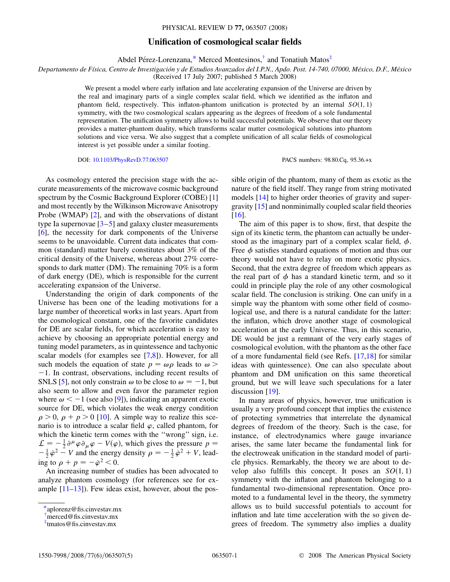## **Unification of cosmological scalar fields**

Abdel Pérez-Lorenzana,[\\*](#page-0-0) Merced Montesinos, $\dagger$  and Tonatiuh Matos $\ddagger$ 

<span id="page-0-3"></span>*Departamento de Fı´sica, Centro de Investigacio´n y de Estudios Avanzados del I.P.N., Apdo. Post. 14-740, 07000, Me´xico, D.F., Me´xico*

(Received 17 July 2007; published 5 March 2008)

We present a model where early inflation and late accelerating expansion of the Universe are driven by the real and imaginary parts of a single complex scalar field, which we identified as the inflaton and phantom field, respectively. This inflaton-phantom unification is protected by an internal  $SO(1, 1)$ symmetry, with the two cosmological scalars appearing as the degrees of freedom of a sole fundamental representation. The unification symmetry allows to build successful potentials. We observe that our theory provides a matter-phantom duality, which transforms scalar matter cosmological solutions into phantom solutions and vice versa. We also suggest that a complete unification of all scalar fields of cosmological interest is yet possible under a similar footing.

DOI: [10.1103/PhysRevD.77.063507](http://dx.doi.org/10.1103/PhysRevD.77.063507) PACS numbers: 98.80.Cq, 95.36.+x

As cosmology entered the precision stage with the accurate measurements of the microwave cosmic background spectrum by the Cosmic Background Explorer (COBE) [\[1\]](#page-3-0) and most recently by the Wilkinson Microwave Anisotropy Probe (WMAP) [[2](#page-3-1)], and with the observations of distant type Ia supernovae  $\left[3-5\right]$  $\left[3-5\right]$  $\left[3-5\right]$  and galaxy cluster measurements [\[6\]](#page-3-4), the necessity for dark components of the Universe seems to be unavoidable. Current data indicates that common (standard) matter barely constitutes about 3% of the critical density of the Universe, whereas about 27% corresponds to dark matter (DM). The remaining 70% is a form of dark energy (DE), which is responsible for the current accelerating expansion of the Universe.

Understanding the origin of dark components of the Universe has been one of the leading motivations for a large number of theoretical works in last years. Apart from the cosmological constant, one of the favorite candidates for DE are scalar fields, for which acceleration is easy to achieve by choosing an appropriate potential energy and tuning model parameters, as in quintessence and tachyonic scalar models (for examples see [\[7](#page-3-5)[,8](#page-4-0)]). However, for all such models the equation of state  $p = \omega \rho$  leads to  $\omega$  $-1$ . In contrast, observations, including recent results of SNLS [\[5](#page-3-3)], not only constrain  $\omega$  to be close to  $\omega = -1$ , but also seem to allow and even favor the parameter region where  $\omega < -1$  (see also [\[9\]](#page-4-1)), indicating an apparent exotic source for DE, which violates the weak energy condition  $\rho > 0$ ,  $\rho + p > 0$  [\[10\]](#page-4-2). A simple way to realize this scenario is to introduce a scalar field  $\varphi$ , called phantom, for which the kinetic term comes with the "wrong" sign, i.e.  $\mathcal{L} = -\frac{1}{2} \partial^{\mu} \varphi \partial_{\mu} \varphi - V(\varphi)$ , which gives the pressure  $p =$  $-\frac{1}{2}\dot{\varphi}^2 - V$  and the energy density  $\rho = -\frac{1}{2}\dot{\varphi}^2 + V$ , leading to  $\rho + p = -\dot{\varphi}^2 < 0$ .

An increasing number of studies has been advocated to analyze phantom cosmology (for references see for example  $[11-13]$  $[11-13]$ ). Few ideas exist, however, about the possible origin of the phantom, many of them as exotic as the nature of the field itself. They range from string motivated models [[14](#page-4-5)] to higher order theories of gravity and supergravity [\[15\]](#page-4-6) and nonminimally coupled scalar field theories [\[16\]](#page-4-7).

The aim of this paper is to show, first, that despite the sign of its kinetic term, the phantom can actually be understood as the imaginary part of a complex scalar field,  $\phi$ . Free  $\phi$  satisfies standard equations of motion and thus our theory would not have to relay on more exotic physics. Second, that the extra degree of freedom which appears as the real part of  $\phi$  has a standard kinetic term, and so it could in principle play the role of any other cosmological scalar field. The conclusion is striking. One can unify in a simple way the phantom with some other field of cosmological use, and there is a natural candidate for the latter: the inflaton, which drove another stage of cosmological acceleration at the early Universe. Thus, in this scenario, DE would be just a remnant of the very early stages of cosmological evolution, with the phantom as the other face of a more fundamental field (see Refs. [\[17](#page-4-8)[,18\]](#page-4-9) for similar ideas with quintessence). One can also speculate about phantom and DM unification on this same theoretical ground, but we will leave such speculations for a later discussion [\[19](#page-4-10)].

In many areas of physics, however, true unification is usually a very profound concept that implies the existence of protecting symmetries that interrelate the dynamical degrees of freedom of the theory. Such is the case, for instance, of electrodynamics where gauge invariance arises, the same later became the fundamental link for the electroweak unification in the standard model of particle physics. Remarkably, the theory we are about to develop also fulfills this concept. It poses an  $SO(1, 1)$ symmetry with the inflaton and phantom belonging to a fundamental two-dimensional representation. Once promoted to a fundamental level in the theory, the symmetry allows us to build successful potentials to account for inflation and late time acceleration with the so given degrees of freedom. The symmetry also implies a duality

<span id="page-0-0"></span>[<sup>\\*</sup>a](#page-0-3)plorenz@fis.cinvestav.mx

<span id="page-0-1"></span>[<sup>†</sup>](#page-0-3) merced@fis.cinvestav.mx

<span id="page-0-2"></span>[<sup>‡</sup>](#page-0-3) tmatos@fis.cinvestav.mx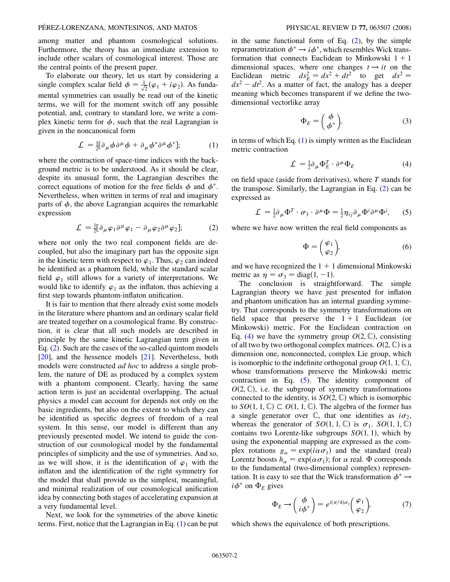among matter and phantom cosmological solutions. Furthermore, the theory has an immediate extension to include other scalars of cosmological interest. Those are the central points of the present paper.

To elaborate our theory, let us start by considering a single complex scalar field  $\phi = \frac{1}{\sqrt{2}}(\varphi_1 + i\varphi_2)$ . As fundamental symmetries can usually be read out of the kinetic terms, we will for the moment switch off any possible potential, and, contrary to standard lore, we write a complex kinetic term for  $\phi$ , such that the real Lagrangian is given in the noncanonical form

$$
\mathcal{L} = \frac{1}{2} [\partial_{\mu} \phi \partial^{\mu} \phi + \partial_{\mu} \phi^* \partial^{\mu} \phi^*]; \tag{1}
$$

<span id="page-1-1"></span>where the contraction of space-time indices with the background metric is to be understood. As it should be clear, despite its unusual form, the Lagrangian describes the correct equations of motion for the free fields  $\phi$  and  $\phi^*$ . Nevertheless, when written in terms of real and imaginary parts of  $\phi$ , the above Lagrangian acquires the remarkable expression

$$
\mathcal{L} = \frac{1}{2} [\partial_{\mu} \varphi_1 \partial^{\mu} \varphi_1 - \partial_{\mu} \varphi_2 \partial^{\mu} \varphi_2]; \tag{2}
$$

<span id="page-1-0"></span>where not only the two real component fields are decoupled, but also the imaginary part has the opposite sign in the kinetic term with respect to  $\varphi_1$ . Thus,  $\varphi_2$  can indeed be identified as a phantom field, while the standard scalar field  $\varphi_1$  still allows for a variety of interpretations. We would like to identify  $\varphi_1$  as the inflaton, thus achieving a first step towards phantom-inflaton unification.

It is fair to mention that there already exist some models in the literature where phantom and an ordinary scalar field are treated together on a cosmological frame. By construction, it is clear that all such models are described in principle by the same kinetic Lagrangian term given in Eq. ([2](#page-1-0)). Such are the cases of the so-called quintom models [\[20\]](#page-4-11), and the hessence models [[21](#page-4-12)]. Nevertheless, both models were constructed *ad hoc* to address a single problem, the nature of DE as produced by a complex system with a phantom component. Clearly, having the same action term is just an accidental overlapping. The actual physics a model can account for depends not only on the basic ingredients, but also on the extent to which they can be identified as specific degrees of freedom of a real system. In this sense, our model is different than any previously presented model. We intend to guide the construction of our cosmological model by the fundamental principles of simplicity and the use of symmetries. And so, as we will show, it is the identification of  $\varphi_1$  with the inflaton and the identification of the right symmetry for the model that shall provide us the simplest, meaningful, and minimal realization of our cosmological unification idea by connecting both stages of accelerating expansion at a very fundamental level.

Next, we look for the symmetries of the above kinetic terms. First, notice that the Lagrangian in Eq. [\(1](#page-1-1)) can be put in the same functional form of Eq.  $(2)$ , by the simple reparametrization  $\phi^* \rightarrow i \phi^*$ , which resembles Wick transformation that connects Euclidean to Minkowski  $1 + 1$ dimensional spaces, where one changes  $t \rightarrow it$  on the Euclidean metric  $ds_E^2 = dx^2 + dt^2$  to get  $ds^2 =$  $dx^2 - dt^2$ . As a matter of fact, the analogy has a deeper meaning which becomes transparent if we define the twodimensional vectorlike array

$$
\Phi_E = \left(\begin{array}{c} \phi \\ \phi^* \end{array}\right),\tag{3}
$$

<span id="page-1-2"></span>in terms of which Eq.  $(1)$  is simply written as the Euclidean metric contraction

$$
\mathcal{L} = \frac{1}{2} \partial_{\mu} \Phi_{E}^{T} \cdot \partial^{\mu} \Phi_{E}
$$
 (4)

<span id="page-1-3"></span>on field space (aside from derivatives), where *T* stands for the transpose. Similarly, the Lagrangian in Eq. [\(2\)](#page-1-0) can be expressed as

$$
\mathcal{L} = \frac{1}{2} \partial_{\mu} \Phi^{T} \cdot \sigma_{3} \cdot \partial^{\mu} \Phi = \frac{1}{2} \eta_{ij} \partial_{\mu} \Phi^{i} \partial^{\mu} \Phi^{j}, \qquad (5)
$$

<span id="page-1-4"></span>where we have now written the real field components as

$$
\Phi = \begin{pmatrix} \varphi_1 \\ \varphi_2 \end{pmatrix}, \tag{6}
$$

and we have recognized the  $1 + 1$  dimensional Minkowski metric as  $\eta = \sigma_3 = \text{diag}(1, -1)$ .

The conclusion is straightforward. The simple Lagrangian theory we have just presented for inflaton and phantom unification has an internal guarding symmetry. That corresponds to the symmetry transformations on field space that preserve the  $1 + 1$  Euclidean (or Minkowski) metric. For the Euclidean contraction on Eq. ([4\)](#page-1-2) we have the symmetry group  $O(2, \mathbb{C})$ , consisting of all two by two orthogonal complex matrices.  $O(2, \mathbb{C})$  is a dimension one, nonconnected, complex Lie group, which is isomorphic to the indefinite orthogonal group  $O(1, 1, \mathbb{C}),$ whose transformations preserve the Minkowski metric contraction in Eq. [\(5\)](#page-1-3). The identity component of  $O(2, \mathbb{C})$ , i.e. the subgroup of symmetry transformations connected to the identity, is  $SO(2, \mathbb{C})$  which is isomorphic to  $SO(1, 1, \mathbb{C}) \subset O(1, 1, \mathbb{C})$ . The algebra of the former has a single generator over  $\mathbb{C}$ , that one identifies as  $i\sigma_2$ , whereas the generator of  $SO(1, 1, \mathbb{C})$  is  $\sigma_1$ .  $SO(1, 1, \mathbb{C})$ contains two Lorentz-like subgroups  $SO(1, 1)$ , which by using the exponential mapping are expressed as the complex rotations  $g_{\alpha} = \exp(i\alpha \sigma_1)$  and the standard (real) Lorentz boosts  $h_{\alpha} = \exp(\alpha \sigma_1)$ ; for  $\alpha$  real.  $\Phi$  corresponds to the fundamental (two-dimensional complex) representation. It is easy to see that the Wick transformation  $\phi^* \rightarrow$  $i\phi^*$  on  $\Phi_F$  gives

$$
\Phi_E \to \begin{pmatrix} \phi \\ i\phi^* \end{pmatrix} = e^{i(\pi/4)\sigma_1} \begin{pmatrix} \varphi_1 \\ \varphi_2 \end{pmatrix},\tag{7}
$$

which shows the equivalence of both prescriptions.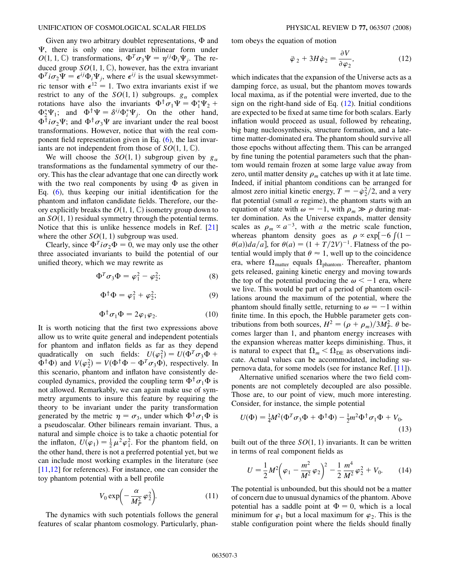Given any two arbitrary doublet representations,  $\Phi$  and -, there is only one invariant bilinear form under  $O(1, 1, \mathbb{C})$  transformations,  $\Phi^T \sigma_3 \Psi = \eta^{ij} \Phi_i \Psi_j$ . The reduced group  $SO(1, 1, \mathbb{C})$ , however, has the extra invariant  $\Phi^T i \sigma_2 \Psi = \epsilon^{ij} \Phi_i \Psi_j$ , where  $\epsilon^{ij}$  is the usual skewsymmetric tensor with  $\epsilon^{12} = 1$ . Two extra invariants exist if we restrict to any of the  $SO(1, 1)$  subgroups.  $g_{\alpha}$  complex rotations have also the invariants  $\Phi^{\dagger} \sigma_1 \Psi = \Phi_1^* \Psi_2 +$  $\Phi_2^* \Psi_1$ ; and  $\Phi^{\dagger} \Psi = \delta^{ij} \Phi_i^* \Psi_j$ . On the other hand,  $\Phi^{\dagger}i\sigma_2\Psi$ ; and  $\Phi^{\dagger}\sigma_3\Psi$  are invariant under the real boost transformations. However, notice that with the real component field representation given in Eq. [\(6](#page-1-4)), the last invariants are not independent from those of  $SO(1, 1, \mathbb{C})$ .

We will choose the  $SO(1, 1)$  subgroup given by  $g_{\alpha}$ transformations as the fundamental symmetry of our theory. This has the clear advantage that one can directly work with the two real components by using  $\Phi$  as given in Eq. ([6\)](#page-1-4), thus keeping our initial identification for the phantom and inflaton candidate fields. Therefore, our theory explicitly breaks the  $O(1, 1, \mathbb{C})$  isometry group down to an  $SO(1, 1)$  residual symmetry through the potential terms. Notice that this is unlike hessence models in Ref. [\[21\]](#page-4-12) where the other  $SO(1, 1)$  subgroup was used.

Clearly, since  $\Phi^T i \sigma_2 \Phi = 0$ , we may only use the other three associated invariants to build the potential of our unified theory, which we may rewrite as

$$
\Phi^T \sigma_3 \Phi = \varphi_1^2 - \varphi_2^2; \tag{8}
$$

$$
\Phi^{\dagger}\Phi = \varphi_1^2 + \varphi_2^2; \tag{9}
$$

$$
\Phi^{\dagger} \sigma_1 \Phi = 2\varphi_1 \varphi_2. \tag{10}
$$

It is worth noticing that the first two expressions above allow us to write quite general and independent potentials for phantom and inflaton fields as far as they depend quadratically on such fields:  $U(\varphi_1^2) = U(\Phi^T \sigma_3 \Phi +$  $\Phi^{\dagger} \Phi$ ) and  $V(\varphi_2^2) = V(\Phi^{\dagger} \Phi - \Phi^T \sigma_3 \Phi)$ , respectively. In this scenario, phantom and inflaton have consistently decoupled dynamics, provided the coupling term  $\Phi^{\dagger} \sigma_1 \Phi$  is not allowed. Remarkably, we can again make use of symmetry arguments to insure this feature by requiring the theory to be invariant under the parity transformation generated by the metric  $\eta = \sigma_3$ , under which  $\Phi^{\dagger} \sigma_1 \Phi$  is a pseudoscalar. Other bilinears remain invariant. Thus, a natural and simple choice is to take a chaotic potential for the inflaton,  $U(\varphi_1) = \frac{1}{2} \mu^2 \varphi_1^2$ . For the phantom field, on the other hand, there is not a preferred potential yet, but we can include most working examples in the literature (see [\[11](#page-4-3)[,12\]](#page-4-13) for references). For instance, one can consider the toy phantom potential with a bell profile

$$
V_0 \exp\left(-\frac{\alpha}{M_P^2} \varphi_2^2\right). \tag{11}
$$

<span id="page-2-1"></span>The dynamics with such potentials follows the general features of scalar phantom cosmology. Particularly, phan<span id="page-2-0"></span>tom obeys the equation of motion

$$
\ddot{\varphi}_2 + 3H\dot{\varphi}_2 = \frac{\partial V}{\partial \varphi_2},\tag{12}
$$

which indicates that the expansion of the Universe acts as a damping force, as usual, but the phantom moves towards local maxima, as if the potential were inverted, due to the sign on the right-hand side of Eq.  $(12)$  $(12)$  $(12)$ . Initial conditions are expected to be fixed at same time for both scalars. Early inflation would proceed as usual, followed by reheating, big bang nucleosynthesis, structure formation, and a latetime matter-dominated era. The phantom should survive all those epochs without affecting them. This can be arranged by fine tuning the potential parameters such that the phantom would remain frozen at some large value away from zero, until matter density  $\rho_m$  catches up with it at late time. Indeed, if initial phantom conditions can be arranged for almost zero initial kinetic energy,  $T = -\dot{\varphi}_2^2/2$ , and a very flat potential (small  $\alpha$  regime), the phantom starts with an equation of state with  $\omega = -1$ , with  $\rho_m \gg \rho$  during matter domination. As the Universe expands, matter density scales as  $\rho_m \propto a^{-3}$ , with *a* the metric scale function, whereas phantom density goes as  $\rho \propto \exp[-6(1 \theta(a)$ )*da*/*a*], for  $\theta(a) = (1 + T/2V)^{-1}$ . Flatness of the potential would imply that  $\theta \approx 1$ , well up to the coincidence era, where  $\Omega_{\text{matter}}$  equals  $\Omega_{\text{phantom}}$ . Thereafter, phantom gets released, gaining kinetic energy and moving towards the top of the potential producing the  $\omega < -1$  era, where we live. This would be part of a period of phantom oscillations around the maximum of the potential, where the phantom should finally settle, returning to  $\omega = -1$  within finite time. In this epoch, the Hubble parameter gets contributions from both sources,  $H^2 = (\rho + \rho_m)/3M_P^2$ .  $\theta$  becomes larger than 1, and phantom energy increases with the expansion whereas matter keeps diminishing. Thus, it is natural to expect that  $\Omega_m < \Omega_{\text{DE}}$  as observations indicate. Actual values can be accommodated, including supernova data, for some models (see for instance Ref. [\[11](#page-4-3)]).

Alternative unified scenarios where the two field components are not completely decoupled are also possible. Those are, to our point of view, much more interesting. Consider, for instance, the simple potential

$$
U(\Phi) = \frac{1}{4}M^2(\Phi^T \sigma_3 \Phi + \Phi^\dagger \Phi) - \frac{1}{2}m^2 \Phi^\dagger \sigma_1 \Phi + V_0,
$$
\n(13)

built out of the three  $SO(1, 1)$  invariants. It can be written in terms of real component fields as

$$
U = \frac{1}{2}M^2 \left(\varphi_1 - \frac{m^2}{M^2} \varphi_2\right)^2 - \frac{1}{2} \frac{m^4}{M^2} \varphi_2^2 + V_0.
$$
 (14)

The potential is unbounded, but this should not be a matter of concern due to unusual dynamics of the phantom. Above potential has a saddle point at  $\Phi = 0$ , which is a local minimum for  $\varphi_1$  but a local maximum for  $\varphi_2$ . This is the stable configuration point where the fields should finally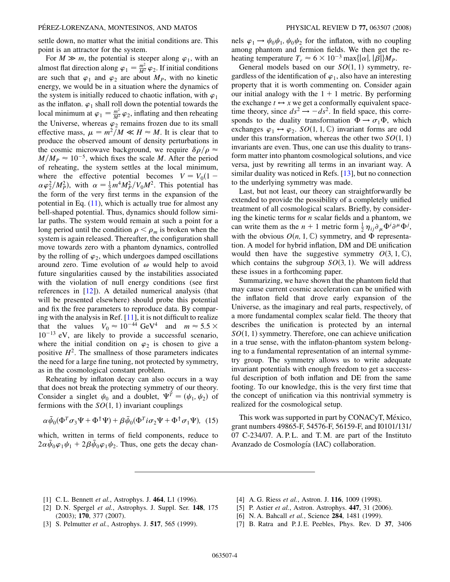settle down, no matter what the initial conditions are. This point is an attractor for the system.

For  $M \gg m$ , the potential is steeper along  $\varphi_1$ , with an almost flat direction along  $\varphi_1 = \frac{m^2}{M^2} \varphi_2$ . If initial conditions are such that  $\varphi_1$  and  $\varphi_2$  are about  $M_P$ , with no kinetic energy, we would be in a situation where the dynamics of the system is initially reduced to chaotic inflation, with  $\varphi_1$ as the inflaton.  $\varphi_1$  shall roll down the potential towards the local minimum at  $\varphi_1 = \frac{m^2}{M^2} \varphi_2$ , inflating and then reheating the Universe, whereas  $\varphi_2$  remains frozen due to its small effective mass,  $\mu = m^2/M \ll H \approx M$ . It is clear that to produce the observed amount of density perturbations in the cosmic microwave background, we require  $\delta \rho / \rho \approx$  $M/M_P \approx 10^{-5}$ , which fixes the scale *M*. After the period of reheating, the system settles at the local minimum, where the effective potential becomes  $V = V_0(1 \alpha \varphi_2^2/M_P^2$ , with  $\alpha = \frac{1}{2} m^4 M_P^2/V_0 M^2$ . This potential has the form of the very first terms in the expansion of the potential in Eq.  $(11)$ , which is actually true for almost any bell-shaped potential. Thus, dynamics should follow similar paths. The system would remain at such a point for a long period until the condition  $\rho < \rho_m$  is broken when the system is again released. Thereafter, the configuration shall move towards zero with a phantom dynamics, controlled by the rolling of  $\varphi_2$ , which undergoes damped oscillations around zero. Time evolution of  $\omega$  would help to avoid future singularities caused by the instabilities associated with the violation of null energy conditions (see first references in [[12\]](#page-4-13)). A detailed numerical analysis (that will be presented elsewhere) should probe this potential and fix the free parameters to reproduce data. By comparing with the analysis in Ref. [\[11\]](#page-4-3), it is not difficult to realize that the values  $V_0 \approx 10^{-44} \text{ GeV}^4$  and  $m \approx 5.5 \times$  $10^{-13}$  eV, are likely to provide a successful scenario, where the initial condition on  $\varphi_2$  is chosen to give a positive  $H^2$ . The smallness of those parameters indicates the need for a large fine tuning, not protected by symmetry, as in the cosmological constant problem.

Reheating by inflaton decay can also occurs in a way that does not break the protecting symmetry of our theory. Consider a singlet  $\psi_0$  and a doublet,  $\Psi^T = (\psi_1, \psi_2)$  of fermions with the  $SO(1, 1)$  invariant couplings

$$
\alpha \bar{\psi}_0 (\Phi^T \sigma_3 \Psi + \Phi^\dagger \Psi) + \beta \bar{\psi}_0 (\Phi^T i \sigma_2 \Psi + \Phi^\dagger \sigma_1 \Psi), \tag{15}
$$

which, written in terms of field components, reduce to  $2\alpha\bar{\psi}_0\varphi_1\psi_1 + 2\beta\bar{\psi}_0\varphi_1\psi_2$ . Thus, one gets the decay channels  $\varphi_1 \rightarrow \psi_0 \psi_1$ ,  $\psi_0 \psi_2$  for the inflaton, with no coupling among phantom and fermion fields. We then get the reheating temperature  $T_r \approx 6 \times 10^{-3}$  max $\{|\alpha|, |\beta|\} M_p$ .

General models based on our  $SO(1, 1)$  symmetry, regardless of the identification of  $\varphi_1$ , also have an interesting property that it is worth commenting on. Consider again our initial analogy with the  $1 + 1$  metric. By performing the exchange  $t \leftrightarrow x$  we get a conformally equivalent spacetime theory, since  $ds^2 \rightarrow -ds^2$ . In field space, this corresponds to the duality transformation  $\Phi \rightarrow \sigma_1 \Phi$ , which exchanges  $\varphi_1 \leftrightarrow \varphi_2$ . *SO*(1, 1, C) invariant forms are odd under this transformation, whereas the other two  $SO(1, 1)$ invariants are even. Thus, one can use this duality to transform matter into phantom cosmological solutions, and vice versa, just by rewriting all terms in an invariant way. A similar duality was noticed in Refs. [\[13\]](#page-4-4), but no connection to the underlying symmetry was made.

Last, but not least, our theory can straightforwardly be extended to provide the possibility of a completely unified treatment of all cosmological scalars. Briefly, by considering the kinetic terms for *n* scalar fields and a phantom, we can write them as the  $n + 1$  metric form  $\frac{1}{2} \eta_{ij} \partial_{\mu} \Phi^i \partial^{\mu} \Phi^j$ , with the obvious  $O(n, 1, \mathbb{C})$  symmetry, and  $\Phi$  representation. A model for hybrid inflation, DM and DE unification would then have the suggestive symmetry  $O(3, 1, \mathbb{C}),$ which contains the subgroup  $SO(3, 1)$ . We will address these issues in a forthcoming paper.

Summarizing, we have shown that the phantom field that may cause current cosmic acceleration can be unified with the inflaton field that drove early expansion of the Universe, as the imaginary and real parts, respectively, of a more fundamental complex scalar field. The theory that describes the unification is protected by an internal SO(1, 1) symmetry. Therefore, one can achieve unification in a true sense, with the inflaton-phantom system belonging to a fundamental representation of an internal symmetry group. The symmetry allows us to write adequate invariant potentials with enough freedom to get a successful description of both inflation and DE from the same footing. To our knowledge, this is the very first time that the concept of unification via this nontrivial symmetry is realized for the cosmological setup.

This work was supported in part by CONACyT, México, grant numbers 49865-F, 54576-F, 56159-F, and I0101/131/ 07 C-234/07. A.P.L. and T.M. are part of the Instituto Avanzado de Cosmología (IAC) collaboration.

- <span id="page-3-1"></span><span id="page-3-0"></span>[1] C. L. Bennett *et al.*, Astrophys. J. **464**, L1 (1996).
- [2] D. N. Spergel *et al.*, Astrophys. J. Suppl. Ser. **148**, 175 (2003); **170**, 377 (2007).
- <span id="page-3-2"></span>[3] S. Pelmutter *et al.*, Astrophys. J. **517**, 565 (1999).
- <span id="page-3-3"></span>[4] A. G. Riess *et al.*, Astron. J. **116**, 1009 (1998).
- <span id="page-3-4"></span>[5] P. Astier *et al.*, Astron. Astrophys. **447**, 31 (2006).
- <span id="page-3-5"></span>[6] N. A. Bahcall *et al.*, Science **284**, 1481 (1999).
- [7] B. Ratra and P. J. E. Peebles, Phys. Rev. D **37**, 3406